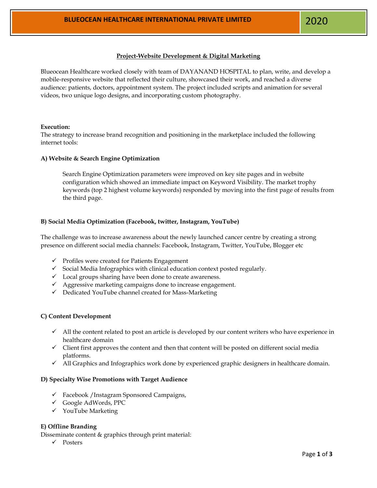2

# **Project-Website Development & Digital Marketing**

Blueocean Healthcare worked closely with team of DAYANAND HOSPITAL to plan, write, and develop a mobile-responsive website that reflected their culture, showcased their work, and reached a diverse audience: patients, doctors, appointment system. The project included scripts and animation for several videos, two unique logo designs, and incorporating custom photography.

#### **Execution:**

The strategy to increase brand recognition and positioning in the marketplace included the following internet tools:

#### **A) Website & Search Engine Optimization**

Search Engine Optimization parameters were improved on key site pages and in website configuration which showed an immediate impact on Keyword Visibility. The market trophy keywords (top 2 highest volume keywords) responded by moving into the first page of results from the third page.

## **B) Social Media Optimization (Facebook, twitter, Instagram, YouTube)**

The challenge was to increase awareness about the newly launched cancer centre by creating a strong presence on different social media channels: Facebook, Instagram, Twitter, YouTube, Blogger etc

- ✓ Profiles were created for Patients Engagement
- $\checkmark$  Social Media Infographics with clinical education context posted regularly.
- ✓ Local groups sharing have been done to create awareness.
- ✓ Aggressive marketing campaigns done to increase engagement.
- ✓ Dedicated YouTube channel created for Mass-Marketing

## **C) Content Development**

- ✓ All the content related to post an article is developed by our content writers who have experience in healthcare domain
- ✓ Client first approves the content and then that content will be posted on different social media platforms.
- $\checkmark$  All Graphics and Infographics work done by experienced graphic designers in healthcare domain.

#### **D) Specialty Wise Promotions with Target Audience**

- ✓ Facebook /Instagram Sponsored Campaigns,
- ✓ Google AdWords, PPC
- ✓ YouTube Marketing

## **E) Offline Branding**

Disseminate content & graphics through print material:

✓ Posters